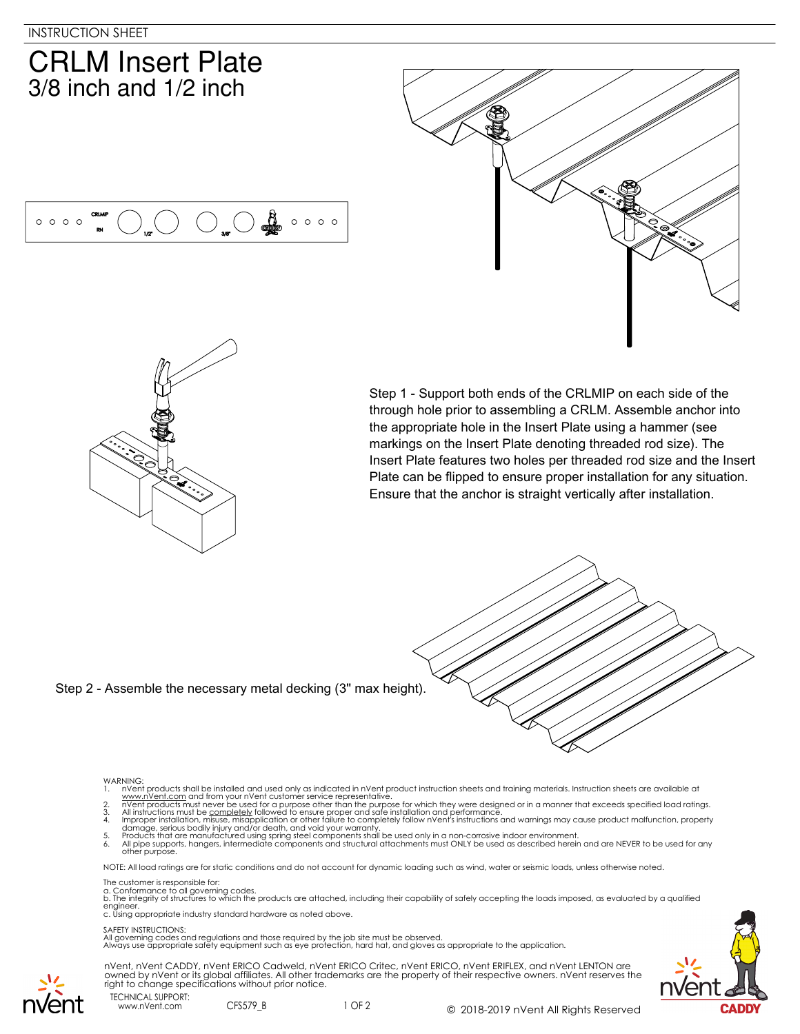$0000$ 

## **CRLM Insert Plate**  $3/8$  inch and  $1/2$  inch





Step 1 - Support both ends of the CRLMIP on each side of the through hole prior to assembling a CRLM. Assemble anchor into the appropriate hole in the Insert Plate using a hammer (see markings on the Insert Plate denoting threaded rod size). The Insert Plate features two holes per threaded rod size and the Insert Plate can be flipped to ensure proper installation for any situation. Ensure that the anchor is straight vertically after installation.



Step 2 - Assemble the necessary metal decking (3" max height).

 $\mathbb{C}$ 

 $\circ \circ \circ \circ \circ$ 

## WARNING:

- 
- 
- 
- 
- 1. In Went products shall be installed and used only as indicated in n'vent product instruction sheets and training materials. Instruction sheets are available at www.n'vent.com and from your n'vent customer service repres

NOTE: All load ratings are for static conditions and do not account for dynamic loading such as wind, water or seismic loads, unless otherwise noted.

The customer is responsible for:

a. Conformance to all governing codes.<br>b. The integrity of structures to which the products are attached, including their capability of safely accepting the loads imposed, as evaluated by a qualified engineer. c. Using appropriate industry standard hardware as noted above.

## SAFETY INSTRUCTIONS:

All governing codes and regulations and those required by the job site must be observed. Always use appropriate safety equipment such as eye protection, hard hat, and gloves as appropriate to the application.



TECHNICAL SUPPORT: nVent, nVent CADDY, nVent ERICO Cadweld, nVent ERICO Critec, nVent ERICO, nVent ERIFLEX, and nVent LENTON are owned by nVent or its global affiliates. All other trademarks are the property of their respective owners. nVent reserves the right to change specifications without prior notice.

www.nVent.com CFS579\_B

1 OF 2 © 2018-2019 nVent All Rights Reserved